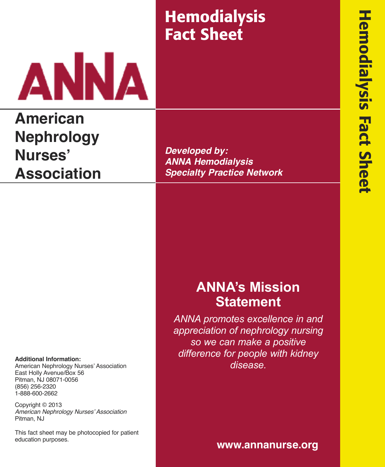# **Hemodialysis Fact Sheet**



# **American Nephrology Nurses' Association**

**Developed by: ANNA Hemodialysis Specialty Practice Network**

## **ANNA's Mission Statement**

*ANNA promotes excellence in and appreciation of nephrology nursing so we can make a positive difference for people with kidney disease.*

#### **Additional Information:**

American Nephrology Nurses' Association East Holly Avenue/Box 56 Pitman, NJ 08071-0056 (856) 256-2320 1-888-600-2662

Copyright © 2013 American Nephrology Nurses' Association Pitman, NJ

This fact sheet may be photocopied for patient education purposes.

**www.annanurse.org**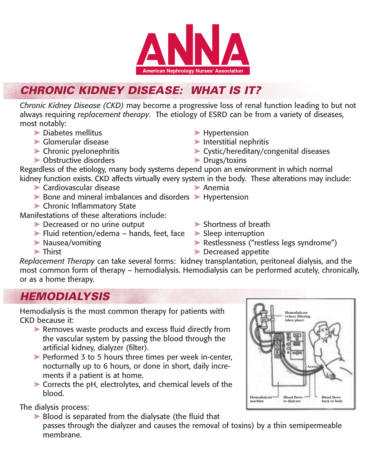

## *CHRONIC KIDNEY DISEASE: WHAT IS IT?*

*Chronic Kidney Disease (CKD)* may become a progressive loss of renal function leading to but not always requiring *replacement therapy*. The etiology of ESRD can be from a variety of diseases, most notably:

- **➤** Diabetes mellitus **➤** Hypertension
- **➤** Glomerular disease **➤** Interstitial nephritis
- 
- **➤** Obstructive disorders **➤** Drugs/toxins
- 
- 
- **➤** Chronic pyelonephritis **➤** Cystic/hereditary/congenital diseases
	-

Regardless of the etiology, many body systems depend upon an environment in which normal kidney function exists. CKD affects virtually every system in the body. These alterations may include:

- **➤** Cardiovascular disease **➤** Anemia
- **➤** Bone and mineral imbalances and disorders **➤** Hypertension
- **➤** Chronic Inflammatory State

Manifestations of these alterations include:

- **➤** Decreased or no urine output **➤** Shortness of breath
- **➤** Fluid retention/edema hands, feet, face **➤** Sleep interruption
- 
- 
- 
- **➤** Nausea/vomiting **➤** Restlessness ("restless legs syndrome")
- **➤** Thirst **➤** Decreased appetite

*Replacement Therapy* can take several forms: kidney transplantation, peritoneal dialysis, and the most common form of therapy – hemodialysis. Hemodialysis can be performed acutely, chronically, or as a home therapy.

### *HEMODIALYSIS*

Hemodialysis is the most common therapy for patients with CKD because it:

- ▶ Removes waste products and excess fluid directly from the vascular system by passing the blood through the artificial kidney, dialyzer (filter).
- ▶ Performed 3 to 5 hours three times per week in-center, nocturnally up to 6 hours, or done in short, daily increments if a patient is at home.
- ▶ Corrects the pH, electrolytes, and chemical levels of the blood.

The dialysis process:

▶ Blood is separated from the dialysate (the fluid that passes through the dialyzer and causes the removal of toxins) by a thin semipermeable membrane.

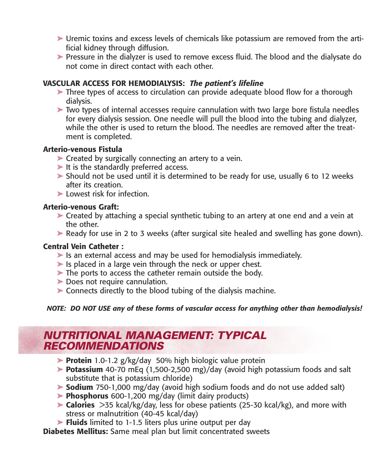- **►** Uremic toxins and excess levels of chemicals like potassium are removed from the artificial kidney through diffusion.
- **►** Pressure in the dialyzer is used to remove excess fluid. The blood and the dialysate do not come in direct contact with each other.

#### **VASCULAR ACCESS FOR HEMODIALYSIS:** *The patient's lifeline*

- **►** Three types of access to circulation can provide adequate blood flow for a thorough dialysis.
- ► Two types of internal accesses require cannulation with two large bore fistula needles for every dialysis session. One needle will pull the blood into the tubing and dialyzer, while the other is used to return the blood. The needles are removed after the treatment is completed.

#### **Arterio-venous Fistula**

- ► Created by surgically connecting an artery to a vein.
- ► It is the standardly preferred access.
- **►** Should not be used until it is determined to be ready for use, usually 6 to 12 weeks after its creation.
- ▶ Lowest risk for infection.

#### **Arterio-venous Graft:**

- **►** Created by attaching a special synthetic tubing to an artery at one end and a vein at the other.
- **►** Ready for use in 2 to 3 weeks (after surgical site healed and swelling has gone down).

#### **Central Vein Catheter :**

- ► Is an external access and may be used for hemodialysis immediately.
- ► Is placed in a large vein through the neck or upper chest.
- ► The ports to access the catheter remain outside the body.
- **►** Does not require cannulation.
- ► Connects directly to the blood tubing of the dialysis machine.

#### *NOTE: DO NOT USE any of these forms of vascular access for anything other than hemodialysis!*

### *NUTRITIONAL MANAGEMENT: TYPICAL RECOMMENDATIONS*

- **➤ Protein** 1.0-1.2 g/kg/day 50% high biologic value protein
- **➤ Potassium** 40-70 mEq (1,500-2,500 mg)/day (avoid high potassium foods and salt substitute that is potassium chloride)
- **➤ Sodium** 750-1,000 mg/day (avoid high sodium foods and do not use added salt)
- **➤ Phosphorus** 600-1,200 mg/day (limit dairy products)
- ▶ **Calories** > 35 kcal/kg/day, less for obese patients (25-30 kcal/kg), and more with stress or malnutrition (40-45 kcal/day)
- **➤ Fluids** limited to 1-1.5 liters plus urine output per day

**Diabetes Mellitus:** Same meal plan but limit concentrated sweets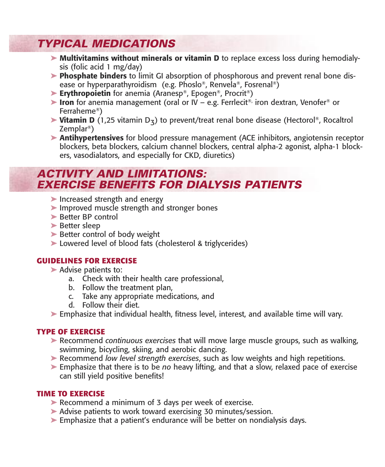### *TYPICAL MEDICATIONS*

- **➤ Multivitamins without minerals or vitamin D** to replace excess loss during hemodialysis (folic acid 1 mg/day)
- **➤ Phosphate binders** to limit GI absorption of phosphorous and prevent renal bone disease or hyperparathyroidism (e.g. Phoslo®, Renvela®, Fosrenal ®)
- **Erythropoietin** for anemia (Aranesp®, Epogen®, Procrit®)
- **► Iron** for anemia management (oral or IV e.g. Ferrlecit<sup>®</sup>, iron dextran, Venofer<sup>®</sup> or Ferraheme®)
- ▶ Vitamin D (1,25 vitamin D<sub>3</sub>) to prevent/treat renal bone disease (Hectorol®, Rocaltrol Zemplar®)
	- **➤ Antihypertensives** for blood pressure management (ACE inhibitors, angiotensin receptor blockers, beta blockers, calcium channel blockers, central alpha-2 agonist, alpha-1 blockers, vasodialators, and especially for CKD, diuretics)

### *ACTIVITY AND LIMITATIONS: EXERCISE BENEFITS FOR DIALYSIS PATIENTS*

- ▶ Increased strength and energy
- ▶ Improved muscle strength and stronger bones
- **►** Better BP control
- **➤** Better sleep
- ▶ Better control of body weight
- ► Lowered level of blood fats (cholesterol & triglycerides)

#### **GUIDELINES FOR EXERCISE**

- **► Advise patients to:** 
	- a. Check with their health care professional,
	- b. Follow the treatment plan,
	- c. Take any appropriate medications, and
	- d. Follow their diet.
- **➤** Emphasize that individual health, fitness level, interest, and available time will vary.

#### **TYPE OF EXERCISE**

- **➤** Recommend *continuous exercises* that will move large muscle groups, such as walking, swimming, bicycling, skiing, and aerobic dancing.
- **➤** Recommend *low level strength exercises*, such as low weights and high repetitions.
- **➤** Emphasize that there is to be *no* heavy lifting, and that a slow, relaxed pace of exercise can still yield positive benefits!

#### **TIME TO EXERCISE**

- ► Recommend a minimum of 3 days per week of exercise.
- ▶ Advise patients to work toward exercising 30 minutes/session.
- ► Emphasize that a patient's endurance will be better on nondialysis days.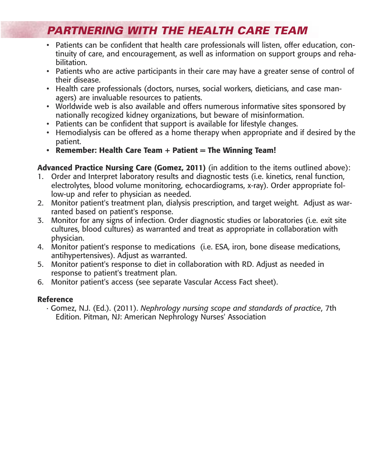### *PARTNERING WITH THE HEALTH CARE TEAM*

- Patients can be confident that health care professionals will listen, offer education, continuity of care, and encouragement, as well as information on support groups and rehabilitation.
- Patients who are active participants in their care may have a greater sense of control of their disease.
- Health care professionals (doctors, nurses, social workers, dieticians, and case managers) are invaluable resources to patients.
- Worldwide web is also available and offers numerous informative sites sponsored by nationally recogized kidney organizations, but beware of misinformation.
- Patients can be confident that support is available for lifestyle changes.
- Hemodialysis can be offered as a home therapy when appropriate and if desired by the patient.
- **• Remember: Health Care Team + Patient = The Winning Team!**

**Advanced Practice Nursing Care (Gomez, 2011)** (in addition to the items outlined above):

- 1. Order and Interpret laboratory results and diagnostic tests (i.e. kinetics, renal function, electrolytes, blood volume monitoring, echocardiograms, x-ray). Order appropriate follow-up and refer to physician as needed.
- 2. Monitor patient's treatment plan, dialysis prescription, and target weight. Adjust as warranted based on patient's response.
- 3. Monitor for any signs of infection. Order diagnostic studies or laboratories (i.e. exit site cultures, blood cultures) as warranted and treat as appropriate in collaboration with physician.
- 4. Monitor patient's response to medications (i.e. ESA, iron, bone disease medications, antihypertensives). Adjust as warranted.
- 5. Monitor patient's response to diet in collaboration with RD. Adjust as needed in response to patient's treatment plan.
- 6. Monitor patient's access (see separate Vascular Access Fact sheet).

#### **Reference**

· Gomez, N.J. (Ed.). (2011). *Nephrology nursing scope and standards of practice*, 7th Edition. Pitman, NJ: American Nephrology Nurses' Association